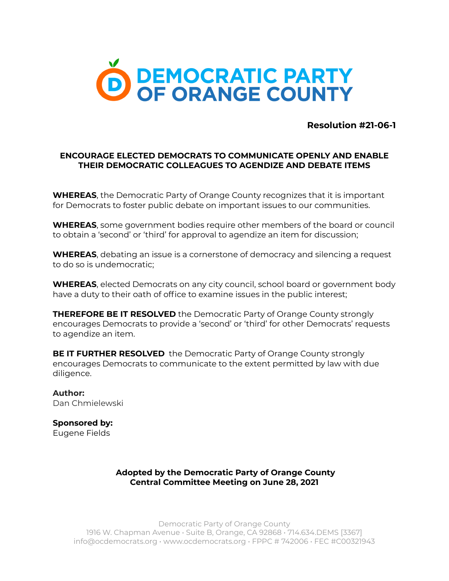

**Resolution #21-06-1**

## **ENCOURAGE ELECTED DEMOCRATS TO COMMUNICATE OPENLY AND ENABLE THEIR DEMOCRATIC COLLEAGUES TO AGENDIZE AND DEBATE ITEMS**

**WHEREAS**, the Democratic Party of Orange County recognizes that it is important for Democrats to foster public debate on important issues to our communities.

**WHEREAS**, some government bodies require other members of the board or council to obtain a 'second' or 'third' for approval to agendize an item for discussion;

**WHEREAS**, debating an issue is a cornerstone of democracy and silencing a request to do so is undemocratic;

**WHEREAS**, elected Democrats on any city council, school board or government body have a duty to their oath of office to examine issues in the public interest;

**THEREFORE BE IT RESOLVED** the Democratic Party of Orange County strongly encourages Democrats to provide a 'second' or 'third' for other Democrats' requests to agendize an item.

**BE IT FURTHER RESOLVED** the Democratic Party of Orange County strongly encourages Democrats to communicate to the extent permitted by law with due diligence.

**Author:** Dan Chmielewski

**Sponsored by:** Eugene Fields

> **Adopted by the Democratic Party of Orange County Central Committee Meeting on June 28, 2021**